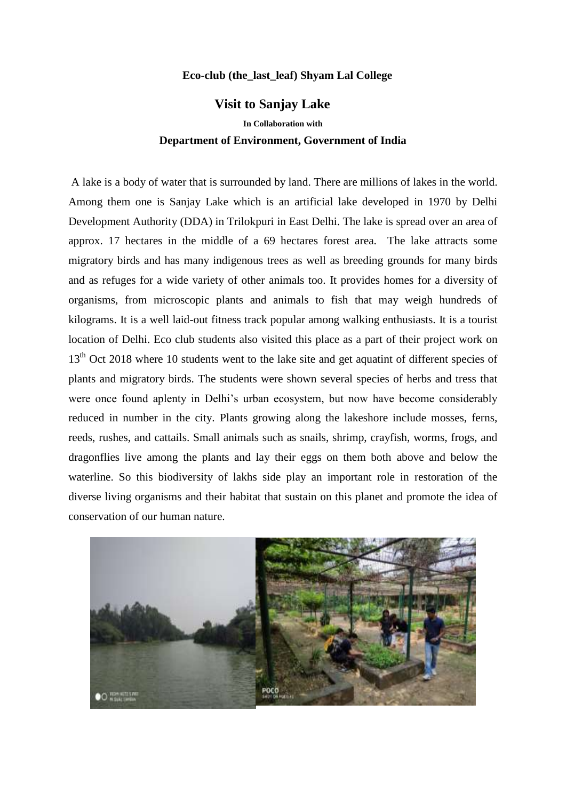## **Eco-club (the\_last\_leaf) Shyam Lal College**

## **Visit to Sanjay Lake**

**In Collaboration with Department of Environment, Government of India** 

 A lake is a body of water that is surrounded by land. There are millions of lakes in the world. Among them one is Sanjay Lake which is an artificial lake developed in 1970 by Delhi Development Authority (DDA) in Trilokpuri in East Delhi. The lake is spread over an area of approx. 17 hectares in the middle of a 69 hectares forest area. The lake attracts some migratory birds and has many indigenous trees as well as breeding grounds for many birds and as refuges for a wide variety of other animals too. It provides homes for a diversity of organisms, from microscopic plants and animals to fish that may weigh hundreds of kilograms. It is a well laid-out fitness track popular among walking enthusiasts. It is a tourist location of Delhi. Eco club students also visited this place as a part of their project work on 13<sup>th</sup> Oct 2018 where 10 students went to the lake site and get aquatint of different species of plants and migratory birds. The students were shown several species of herbs and tress that were once found aplenty in Delhi's urban ecosystem, but now have become considerably reduced in number in the city. Plants growing along the lakeshore include mosses, ferns, reeds, rushes, and cattails. Small animals such as snails, shrimp, crayfish, worms, frogs, and dragonflies live among the plants and lay their eggs on them both above and below the waterline. So this biodiversity of lakhs side play an important role in restoration of the diverse living organisms and their habitat that sustain on this planet and promote the idea of conservation of our human nature.